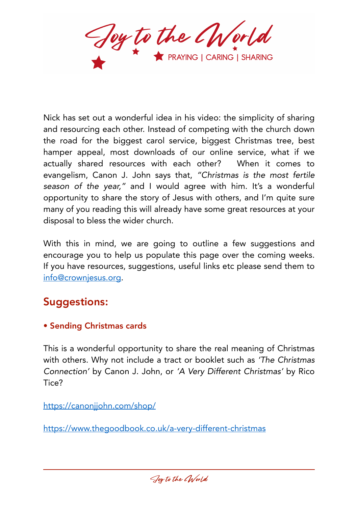Joy to the World

Nick has set out a wonderful idea in his video: the simplicity of sharing and resourcing each other. Instead of competing with the church down the road for the biggest carol service, biggest Christmas tree, best hamper appeal, most downloads of our online service, what if we actually shared resources with each other? When it comes to evangelism, Canon J. John says that, *"Christmas is the most fertile season of the year,"* and I would agree with him. It's a wonderful opportunity to share the story of Jesus with others, and I'm quite sure many of you reading this will already have some great resources at your disposal to bless the wider church.

With this in mind, we are going to outline a few suggestions and encourage you to help us populate this page over the coming weeks. If you have resources, suggestions, useful links etc please send them to [info@crownjesus.org](mailto:info@crownjesus.org).

# Suggestions:

• Sending Christmas cards

This is a wonderful opportunity to share the real meaning of Christmas with others. Why not include a tract or booklet such as *'The Christmas Connection'* by Canon J. John, or *'A Very Different Christmas'* by Rico Tice?

<https://canonjjohn.com/shop/>

<https://www.thegoodbook.co.uk/a-very-different-christmas>

Joy to the CWorld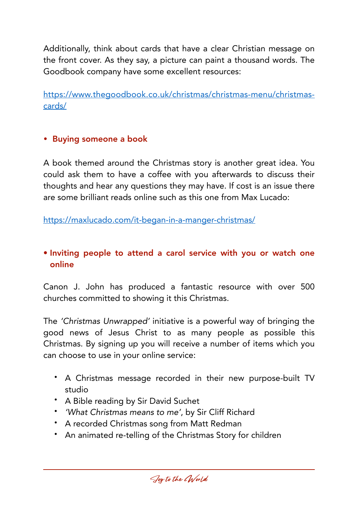Additionally, think about cards that have a clear Christian message on the front cover. As they say, a picture can paint a thousand words. The Goodbook company have some excellent resources:

[https://www.thegoodbook.co.uk/christmas/christmas-menu/christmas](https://www.thegoodbook.co.uk/christmas/christmas-menu/christmas-cards/)[cards/](https://www.thegoodbook.co.uk/christmas/christmas-menu/christmas-cards/)

### • Buying someone a book

A book themed around the Christmas story is another great idea. You could ask them to have a coffee with you afterwards to discuss their thoughts and hear any questions they may have. If cost is an issue there are some brilliant reads online such as this one from Max Lucado:

<https://maxlucado.com/it-began-in-a-manger-christmas/>

## • Inviting people to attend a carol service with you or watch one online

Canon J. John has produced a fantastic resource with over 500 churches committed to showing it this Christmas.

The *'Christmas Unwrapped'* initiative is a powerful way of bringing the good news of Jesus Christ to as many people as possible this Christmas. By signing up you will receive a number of items which you can choose to use in your online service:

- A Christmas message recorded in their new purpose-built TV studio
- A Bible reading by Sir David Suchet
- *'What Christmas means to me'*, by Sir Cliff Richard
- A recorded Christmas song from Matt Redman
- An animated re-telling of the Christmas Story for children

Joy to the CWorld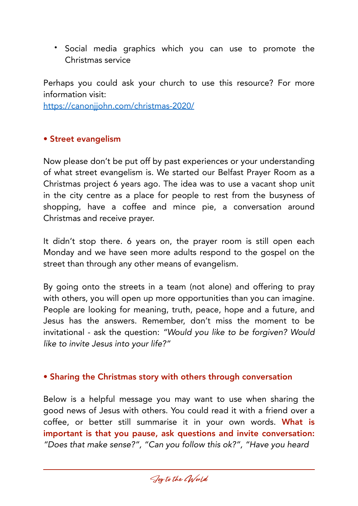• Social media graphics which you can use to promote the Christmas service

Perhaps you could ask your church to use this resource? For more information visit:

<https://canonjjohn.com/christmas-2020/>

#### • Street evangelism

Now please don't be put off by past experiences or your understanding of what street evangelism is. We started our Belfast Prayer Room as a Christmas project 6 years ago. The idea was to use a vacant shop unit in the city centre as a place for people to rest from the busyness of shopping, have a coffee and mince pie, a conversation around Christmas and receive prayer.

It didn't stop there. 6 years on, the prayer room is still open each Monday and we have seen more adults respond to the gospel on the street than through any other means of evangelism.

By going onto the streets in a team (not alone) and offering to pray with others, you will open up more opportunities than you can imagine. People are looking for meaning, truth, peace, hope and a future, and Jesus has the answers. Remember, don't miss the moment to be invitational - ask the question: *"Would you like to be forgiven? Would like to invite Jesus into your life?"*

#### • Sharing the Christmas story with others through conversation

Below is a helpful message you may want to use when sharing the good news of Jesus with others. You could read it with a friend over a coffee, or better still summarise it in your own words. What is important is that you pause, ask questions and invite conversation: *"Does that make sense?", "Can you follow this ok?", "Have you heard* 

Joy to the CWorld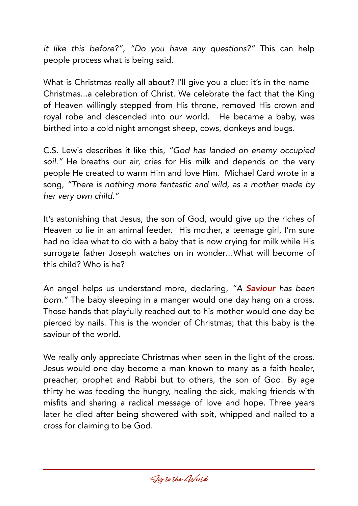*it like this before?", "Do you have any questions?"* This can help people process what is being said.

What is Christmas really all about? I'll give you a clue: it's in the name -Christmas...a celebration of Christ. We celebrate the fact that the King of Heaven willingly stepped from His throne, removed His crown and royal robe and descended into our world. He became a baby, was birthed into a cold night amongst sheep, cows, donkeys and bugs.

C.S. Lewis describes it like this, *"God has landed on enemy occupied soil."* He breaths our air, cries for His milk and depends on the very people He created to warm Him and love Him. Michael Card wrote in a song, *"There is nothing more fantastic and wild, as a mother made by her very own child."*

It's astonishing that Jesus, the son of God, would give up the riches of Heaven to lie in an animal feeder. His mother, a teenage girl, I'm sure had no idea what to do with a baby that is now crying for milk while His surrogate father Joseph watches on in wonder…What will become of this child? Who is he?

An angel helps us understand more, declaring, *"A Saviour has been born."* The baby sleeping in a manger would one day hang on a cross. Those hands that playfully reached out to his mother would one day be pierced by nails. This is the wonder of Christmas; that this baby is the saviour of the world.

We really only appreciate Christmas when seen in the light of the cross. Jesus would one day become a man known to many as a faith healer, preacher, prophet and Rabbi but to others, the son of God. By age thirty he was feeding the hungry, healing the sick, making friends with misfits and sharing a radical message of love and hope. Three years later he died after being showered with spit, whipped and nailed to a cross for claiming to be God.

Joy to the CWorld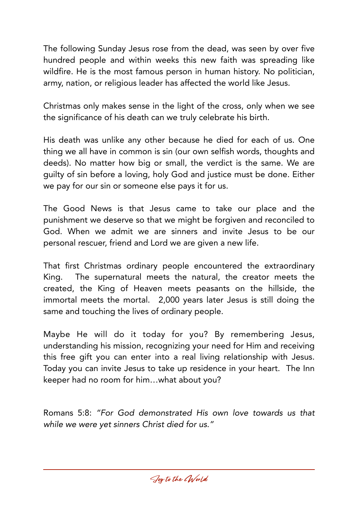The following Sunday Jesus rose from the dead, was seen by over five hundred people and within weeks this new faith was spreading like wildfire. He is the most famous person in human history. No politician, army, nation, or religious leader has affected the world like Jesus.

Christmas only makes sense in the light of the cross, only when we see the significance of his death can we truly celebrate his birth.

His death was unlike any other because he died for each of us. One thing we all have in common is sin (our own selfish words, thoughts and deeds). No matter how big or small, the verdict is the same. We are guilty of sin before a loving, holy God and justice must be done. Either we pay for our sin or someone else pays it for us.

The Good News is that Jesus came to take our place and the punishment we deserve so that we might be forgiven and reconciled to God. When we admit we are sinners and invite Jesus to be our personal rescuer, friend and Lord we are given a new life.

That first Christmas ordinary people encountered the extraordinary King. The supernatural meets the natural, the creator meets the created, the King of Heaven meets peasants on the hillside, the immortal meets the mortal. 2,000 years later Jesus is still doing the same and touching the lives of ordinary people.

Maybe He will do it today for you? By remembering Jesus, understanding his mission, recognizing your need for Him and receiving this free gift you can enter into a real living relationship with Jesus. Today you can invite Jesus to take up residence in your heart. The Inn keeper had no room for him…what about you?

Romans 5:8: *"For God demonstrated His own love towards us that while we were yet sinners Christ died for us."*

Joy to the CWorld